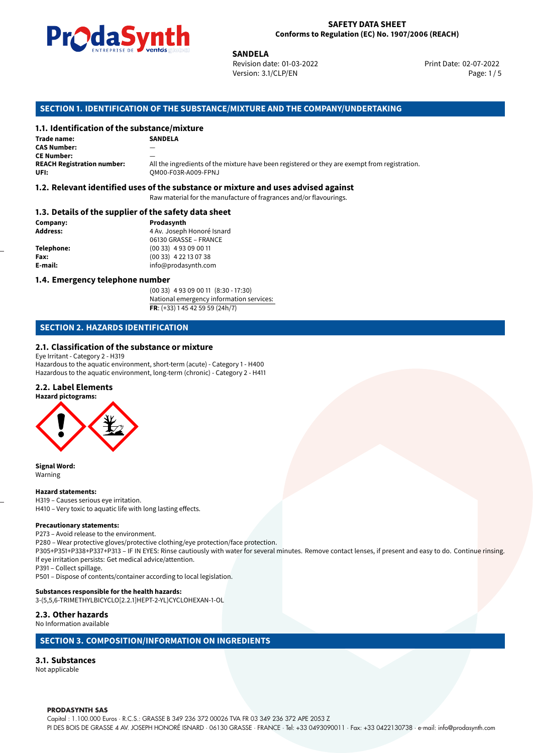

### **SAFETY DATA SHEET Conforms to Regulation (EC) No. 1907/2006 (REACH)**

Revision date: 01-03-2022 Version: 3.1/CLP/EN Page: 1 / 5

Print Date: 02-07-2022

## **SECTION 1. IDENTIFICATION OF THE SUBSTANCE/MIXTURE AND THE COMPANY/UNDERTAKING**

## **1.1. Identification of the substance/mixture**

|                                              | LIVINE FRISE DE VUILLOS SUSSESSION | <b>SANDELA</b>                                                                                |   |
|----------------------------------------------|------------------------------------|-----------------------------------------------------------------------------------------------|---|
|                                              |                                    | Revision date: 01-03-2022                                                                     | P |
|                                              |                                    | Version: 3.1/CLP/EN                                                                           |   |
|                                              |                                    |                                                                                               |   |
|                                              |                                    | SECTION 1. IDENTIFICATION OF THE SUBSTANCE/MIXTURE AND THE COMPANY/UNDERTAKING                |   |
| 1.1. Identification of the substance/mixture |                                    |                                                                                               |   |
| Trade name:                                  | <b>SANDELA</b>                     |                                                                                               |   |
| <b>CAS Number:</b>                           |                                    |                                                                                               |   |
| <b>CE Number:</b>                            |                                    |                                                                                               |   |
| <b>REACH Registration number:</b><br>UFI:    | OM00-F03R-A009-FPNJ                | All the ingredients of the mixture have been registered or they are exempt from registration. |   |
|                                              |                                    |                                                                                               |   |

#### **1.2. Relevant identified uses of the substance or mixture and uses advised against**

Raw material for the manufacture of fragrances and/or flavourings.

## **1.3. Details of the supplier of the safety data sheet**

| Company:          | Prodasynth                 |  |
|-------------------|----------------------------|--|
| <b>Address:</b>   | 4 Av. Joseph Honoré Isnard |  |
|                   | 06130 GRASSE - FRANCE      |  |
| <b>Telephone:</b> | $(0033)$ 4 93 09 00 11     |  |
| Fax:              | $(0033)$ 4 22 13 07 38     |  |
| E-mail:           | info@prodasynth.com        |  |
|                   |                            |  |

## **1.4. Emergency telephone number**

(00 33) 4 93 09 00 11 (8:30 - 17:30) National emergency information services: **FR**: (+33) 1 45 42 59 59 (24h/7)

# **SECTION 2. HAZARDS IDENTIFICATION**

## **2.1. Classification of the substance or mixture**

Eye Irritant - Category 2 - H319

Hazardous to the aquatic environment, short-term (acute) - Category 1 - H400 Hazardous to the aquatic environment, long-term (chronic) - Category 2 - H411

# **2.2. Label Elements**



**Signal Word:** Warning

#### **Hazard statements:**

H319 – Causes serious eye irritation. H410 – Very toxic to aquatic life with long lasting effects.

#### **Precautionary statements:**

P273 – Avoid release to the environment.

P280 – Wear protective gloves/protective clothing/eye protection/face protection.

P305+P351+P338+P337+P313 – IF IN EYES: Rinse cautiously with water for several minutes. Remove contact lenses, if present and easy to do. Continue rinsing. If eye irritation persists: Get medical advice/attention.

P391 – Collect spillage.

P501 – Dispose of contents/container according to local legislation.

#### **Substances responsible for the health hazards:**

3-(5,5,6-TRIMETHYLBICYCLO[2.2.1]HEPT-2-YL)CYCLOHEXAN-1-OL

### **2.3. Other hazards**

No Information available

## **SECTION 3. COMPOSITION/INFORMATION ON INGREDIENTS**

#### **3.1. Substances**

Not applicable

#### **PRODASYNTH SAS**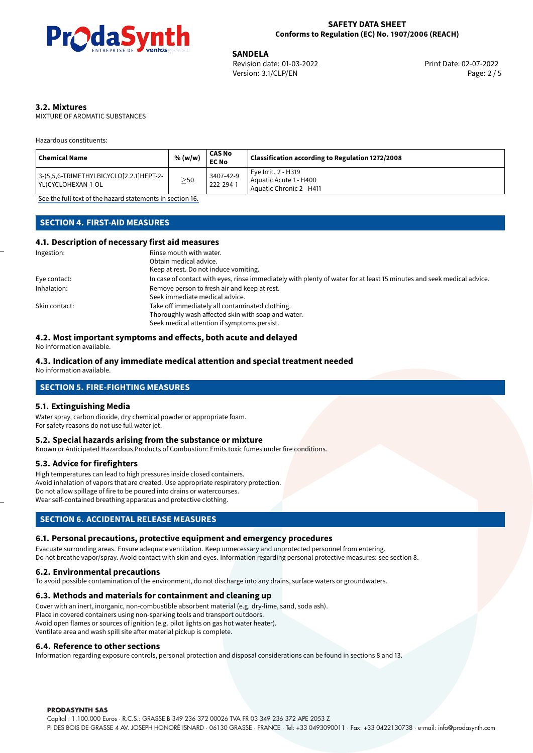

02-07-2022 **SANDELA** Revision date: 01-03-2022 Print Date: Version: 3.1/CLP/EN Page: 2 / 5

# **3.2. Mixtures**

MIXTURE OF AROMATIC SUBSTANCES

Hazardous constituents:

| Chemical Name                                                   | % (w/w)   | <b>CAS No</b><br><b>EC No</b> | Classification according to Regulation 1272/2008                          |
|-----------------------------------------------------------------|-----------|-------------------------------|---------------------------------------------------------------------------|
| 3-(5,5,6-TRIMETHYLBICYCLO[2.2.1]HEPT-2-<br>l YL)CYCLOHEXAN-1-OL | $\geq$ 50 | 3407-42-9<br>222-294-1        | Eve Irrit. 2 - H319<br>Aquatic Acute 1 - H400<br>Aquatic Chronic 2 - H411 |

[See the full text of the hazard statements in section 16.](#page-4-0)

# **SECTION 4. FIRST-AID MEASURES**

## **4.1. Description of necessary first aid measures**

| Ingestion:    | Rinse mouth with water.                                                                                               |
|---------------|-----------------------------------------------------------------------------------------------------------------------|
|               | Obtain medical advice.                                                                                                |
|               | Keep at rest. Do not induce vomiting.                                                                                 |
| Eye contact:  | In case of contact with eyes, rinse immediately with plenty of water for at least 15 minutes and seek medical advice. |
| Inhalation:   | Remove person to fresh air and keep at rest.                                                                          |
|               | Seek immediate medical advice.                                                                                        |
| Skin contact: | Take off immediately all contaminated clothing.                                                                       |
|               | Thoroughly wash affected skin with soap and water.                                                                    |
|               | Seek medical attention if symptoms persist.                                                                           |

#### **4.2. Most important symptoms and effects, both acute and delayed**

No information available.

## **4.3. Indication of any immediate medical attention and special treatment needed**

No information available.

## **SECTION 5. FIRE-FIGHTING MEASURES**

#### **5.1. Extinguishing Media**

Water spray, carbon dioxide, dry chemical powder or appropriate foam. For safety reasons do not use full water jet.

#### **5.2. Special hazards arising from the substance or mixture**

Known or Anticipated Hazardous Products of Combustion: Emits toxic fumes under fire conditions.

#### **5.3. Advice for firefighters**

High temperatures can lead to high pressures inside closed containers. Avoid inhalation of vapors that are created. Use appropriate respiratory protection. Do not allow spillage of fire to be poured into drains or watercourses. Wear self-contained breathing apparatus and protective clothing.

# **SECTION 6. ACCIDENTAL RELEASE MEASURES**

## **6.1. Personal precautions, protective equipment and emergency procedures**

Evacuate surronding areas. Ensure adequate ventilation. Keep unnecessary and unprotected personnel from entering. Do not breathe vapor/spray. Avoid contact with skin and eyes. Information regarding personal protective measures: see section 8.

## **6.2. Environmental precautions**

To avoid possible contamination of the environment, do not discharge into any drains, surface waters or groundwaters.

#### **6.3. Methods and materials for containment and cleaning up**

Cover with an inert, inorganic, non-combustible absorbent material (e.g. dry-lime, sand, soda ash). Place in covered containers using non-sparking tools and transport outdoors. Avoid open flames or sources of ignition (e.g. pilot lights on gas hot water heater). Ventilate area and wash spill site after material pickup is complete.

#### **6.4. Reference to other sections**

Information regarding exposure controls, personal protection and disposal considerations can be found in sections 8 and 13.

#### **PRODASYNTH SAS**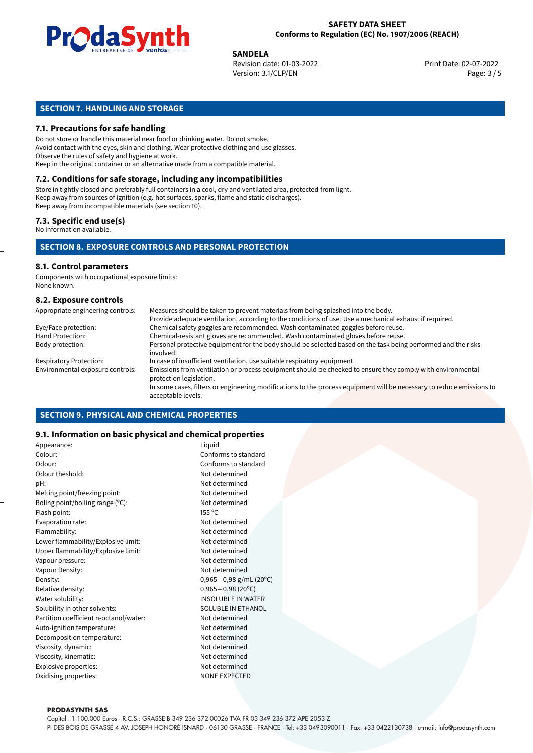

### **SAFETY DATA SHEET Conforms to Regulation (EC) No. 1907/2006 (REACH)**

02-07-2022 **SANDELA** Revision date: 01-03-2022 Print Date: Version: 3.1/CLP/EN Page: 3 / 5

# **SECTION 7. HANDLING AND STORAGE**

## **7.1. Precautions for safe handling**

Do not store or handle this material near food or drinking water. Do not smoke. Avoid contact with the eyes, skin and clothing. Wear protective clothing and use glasses. Observe the rules of safety and hygiene at work. Keep in the original container or an alternative made from a compatible material.

# **7.2. Conditions for safe storage, including any incompatibilities**

Store in tightly closed and preferably full containers in a cool, dry and ventilated area, protected from light. Keep away from sources of ignition (e.g. hot surfaces, sparks, flame and static discharges). Keep away from incompatible materials (see section 10).

#### **7.3. Specific end use(s)**

No information available.

## **SECTION 8. EXPOSURE CONTROLS AND PERSONAL PROTECTION**

# **8.1. Control parameters**

Components with occupational exposure limits: None known.

## **8.2. Exposure controls**

| Appropriate engineering controls: | Measures should be taken to prevent materials from being splashed into the body.                                                            |
|-----------------------------------|---------------------------------------------------------------------------------------------------------------------------------------------|
|                                   | Provide adequate ventilation, according to the conditions of use. Use a mechanical exhaust if required.                                     |
| Eye/Face protection:              | Chemical safety goggles are recommended. Wash contaminated goggles before reuse.                                                            |
| Hand Protection:                  | Chemical-resistant gloves are recommended. Wash contaminated gloves before reuse.                                                           |
| Body protection:                  | Personal protective equipment for the body should be selected based on the task being performed and the risks<br>involved.                  |
| <b>Respiratory Protection:</b>    | In case of insufficient ventilation, use suitable respiratory equipment.                                                                    |
| Environmental exposure controls:  | Emissions from ventilation or process equipment should be checked to ensure they comply with environmental<br>protection legislation.       |
|                                   | In some cases, filters or engineering modifications to the process equipment will be necessary to reduce emissions to<br>acceptable levels. |

## **SECTION 9. PHYSICAL AND CHEMICAL PROPERTIES**

## **9.1. Information on basic physical and chemical properties**

| Appearance:                            | Liquid                      |
|----------------------------------------|-----------------------------|
| Colour:                                | Conforms to standard        |
| Odour:                                 | Conforms to standard        |
| Odour theshold:                        | Not determined              |
| pH:                                    | Not determined              |
| Melting point/freezing point:          | Not determined              |
| Boling point/boiling range (°C):       | Not determined              |
| Flash point:                           | 155 °C                      |
| Evaporation rate:                      | Not determined              |
| Flammability:                          | Not determined              |
| Lower flammability/Explosive limit:    | Not determined              |
| Upper flammability/Explosive limit:    | Not determined              |
| Vapour pressure:                       | Not determined              |
| Vapour Density:                        | Not determined              |
| Density:                               | $0,965 - 0,98$ g/mL (20°C)  |
| Relative density:                      | $0,965 - 0,98(20^{\circ}C)$ |
| Water solubility:                      | <b>INSOLUBLE IN WATER</b>   |
| Solubility in other solvents:          | SOLUBLE IN ETHANOL          |
| Partition coefficient n-octanol/water: | Not determined              |
| Auto-ignition temperature:             | Not determined              |
| Decomposition temperature:             | Not determined              |
| Viscosity, dynamic:                    | Not determined              |
| Viscosity, kinematic:                  | Not determined              |
| Explosive properties:                  | Not determined              |
| Oxidising properties:                  | <b>NONE EXPECTED</b>        |
|                                        |                             |

#### **PRODASYNTH SAS**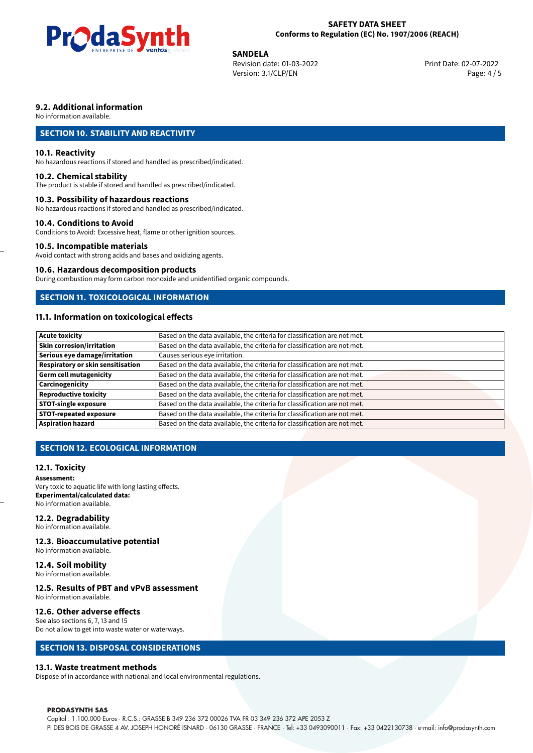

### **SAFETY DATA SHEET Conforms to Regulation (EC) No. 1907/2006 (REACH)**

02-07-2022 **SANDELA** Revision date: 01-03-2022 Print Date: Version: 3.1/CLP/EN Page: 4 / 5

## **9.2. Additional information**

No information available.

# **SECTION 10. STABILITY AND REACTIVITY**

## **10.1. Reactivity**

No hazardous reactions if stored and handled as prescribed/indicated.

#### **10.2. Chemical stability**

The product is stable if stored and handled as prescribed/indicated.

### **10.3. Possibility of hazardous reactions**

No hazardous reactions if stored and handled as prescribed/indicated.

#### **10.4. Conditions to Avoid**

Conditions to Avoid: Excessive heat, flame or other ignition sources.

## **10.5. Incompatible materials**

Avoid contact with strong acids and bases and oxidizing agents.

#### **10.6. Hazardous decomposition products**

During combustion may form carbon monoxide and unidentified organic compounds.

## **SECTION 11. TOXICOLOGICAL INFORMATION**

# **11.1. Information on toxicological effects**

| <b>Acute toxicity</b>             | Based on the data available, the criteria for classification are not met. |
|-----------------------------------|---------------------------------------------------------------------------|
| Skin corrosion/irritation         | Based on the data available, the criteria for classification are not met. |
| Serious eye damage/irritation     | Causes serious eye irritation.                                            |
| Respiratory or skin sensitisation | Based on the data available, the criteria for classification are not met. |
| Germ cell mutagenicity            | Based on the data available, the criteria for classification are not met. |
| Carcinogenicity                   | Based on the data available, the criteria for classification are not met. |
| <b>Reproductive toxicity</b>      | Based on the data available, the criteria for classification are not met. |
| <b>STOT-single exposure</b>       | Based on the data available, the criteria for classification are not met. |
| <b>STOT-repeated exposure</b>     | Based on the data available, the criteria for classification are not met. |
| <b>Aspiration hazard</b>          | Based on the data available, the criteria for classification are not met. |

# **SECTION 12. ECOLOGICAL INFORMATION**

## **12.1. Toxicity**

**Assessment:** Very toxic to aquatic life with long lasting effects. **Experimental/calculated data:** No information available.

## **12.2. Degradability**

No information available.

#### **12.3. Bioaccumulative potential**

No information available.

# **12.4. Soil mobility**

No information available.

# **12.5. Results of PBT and vPvB assessment**

No information available.

### **12.6. Other adverse effects**

See also sections 6, 7, 13 and 15 Do not allow to get into waste water or waterways.

## **SECTION 13. DISPOSAL CONSIDERATIONS**

## **13.1. Waste treatment methods**

Dispose of in accordance with national and local environmental regulations.

#### **PRODASYNTH SAS**